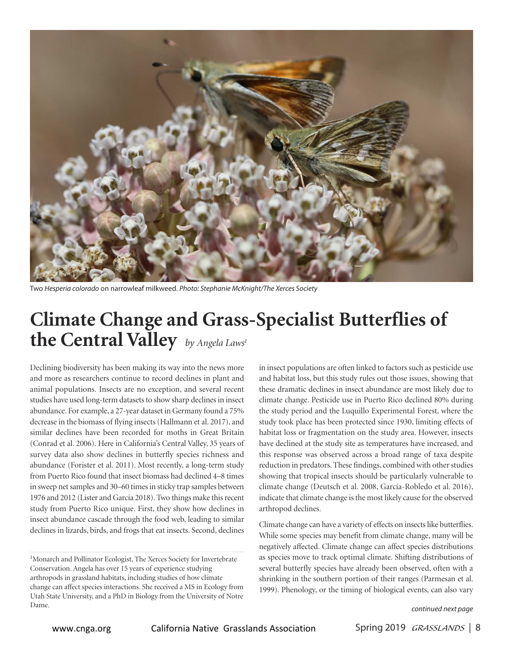

Two Hesperia colorado on narrowleaf milkweed. Photo: Stephanie McKnight/The Xerces Society

## **Climate Change and Grass-Specialist Butterflies of the Central Valley** *by Angela Laws<sup>1</sup>*

Declining biodiversity has been making its way into the news more and more as researchers continue to record declines in plant and animal populations. Insects are no exception, and several recent studies have used long-term datasets to show sharp declines in insect abundance. For example, a 27-year dataset in Germany found a 75% decrease in the biomass of flying insects (Hallmann et al. 2017), and similar declines have been recorded for moths in Great Britain (Conrad et al. 2006). Here in California's Central Valley, 35 years of survey data also show declines in butterfly species richness and abundance (Forister et al. 2011). Most recently, a long-term study from Puerto Rico found that insect biomass had declined 4–8 times in sweep net samples and 30–60 times in sticky trap samples between 1976 and 2012 (Lister and Garcia 2018). Two things make this recent study from Puerto Rico unique. First, they show how declines in insect abundance cascade through the food web, leading to similar declines in lizards, birds, and frogs that eat insects. Second, declines in insect populations are often linked to factors such as pesticide use and habitat loss, but this study rules out those issues, showing that these dramatic declines in insect abundance are most likely due to climate change. Pesticide use in Puerto Rico declined 80% during the study period and the Luquillo Experimental Forest, where the study took place has been protected since 1930, limiting effects of habitat loss or fragmentation on the study area. However, insects have declined at the study site as temperatures have increased, and this response was observed across a broad range of taxa despite reduction in predators. These findings, combined with other studies showing that tropical insects should be particularly vulnerable to climate change (Deutsch et al. 2008, García-Robledo et al. 2016), indicate that climate change is the most likely cause for the observed arthropod declines.

Climate change can have a variety of effects on insects like butterflies. While some species may benefit from climate change, many will be negatively affected. Climate change can affect species distributions as species move to track optimal climate. Shifting distributions of several butterfly species have already been observed, often with a shrinking in the southern portion of their ranges (Parmesan et al. 1999). Phenology, or the timing of biological events, can also vary

<sup>&</sup>lt;sup>1</sup>Monarch and Pollinator Ecologist, The Xerces Society for Invertebrate Conservation. Angela has over 15 years of experience studying arthropods in grassland habitats, including studies of how climate change can affect species interactions. She received a MS in Ecology from Utah State University, and a PhD in Biology from the University of Notre Dame. **Continued next page**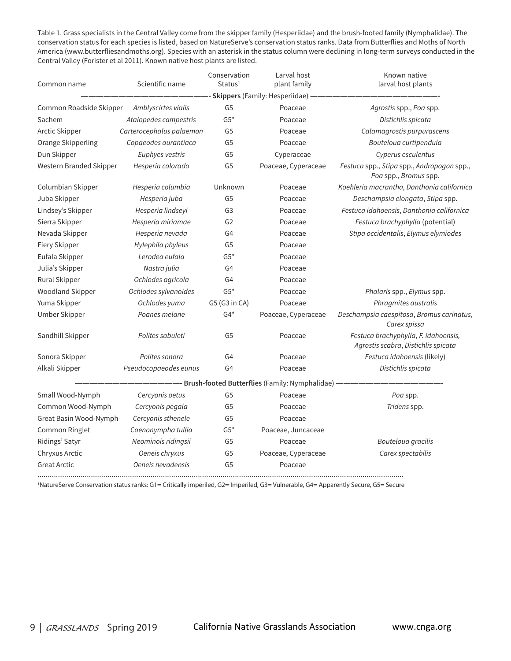Table 1. Grass specialists in the Central Valley come from the skipper family (Hesperiidae) and the brush-footed family (Nymphalidae). The conservation status for each species is listed, based on NatureServe's conservation status ranks. Data from Butterflies and Moths of North America (www.butterfliesandmoths.org). Species with an asterisk in the status column were declining in long-term surveys conducted in the Central Valley (Forister et al 2011). Known native host plants are listed.

| Common name             | Scientific name          | Conservation<br>Status <sup>1</sup> | Larval host<br>plant family                         | Known native<br>larval host plants                                          |
|-------------------------|--------------------------|-------------------------------------|-----------------------------------------------------|-----------------------------------------------------------------------------|
|                         |                          |                                     | Skippers (Family: Hesperiidae)                      |                                                                             |
| Common Roadside Skipper | Amblyscirtes vialis      | G <sub>5</sub>                      | Poaceae                                             | Agrostis spp., Poa spp.                                                     |
| Sachem                  | Atalopedes campestris    | $G5*$                               | Poaceae                                             | Distichlis spicata                                                          |
| Arctic Skipper          | Carterocephalus palaemon | G <sub>5</sub>                      | Poaceae                                             | Calamagrostis purpurascens                                                  |
| Orange Skipperling      | Copaeodes aurantiaca     | G <sub>5</sub>                      | Poaceae                                             | Bouteloua curtipendula                                                      |
| Dun Skipper             | Euphyes vestris          | G <sub>5</sub>                      | Cyperaceae                                          | Cyperus esculentus                                                          |
| Western Branded Skipper | Hesperia colorado        | G <sub>5</sub>                      | Poaceae, Cyperaceae                                 | Festuca spp., Stipa spp., Andropogon spp.,<br>Poa spp., Bromus spp.         |
| Columbian Skipper       | Hesperia columbia        | Unknown                             | Poaceae                                             | Koehleria macrantha, Danthonia californica                                  |
| Juba Skipper            | Hesperia juba            | G <sub>5</sub>                      | Poaceae                                             | Deschampsia elongata, Stipa spp.                                            |
| Lindsey's Skipper       | Hesperia lindseyi        | G <sub>3</sub>                      | Poaceae                                             | Festuca idahoensis, Danthonia californica                                   |
| Sierra Skipper          | Hesperia miriamae        | G <sub>2</sub>                      | Poaceae                                             | Festuca brachyphylla (potential)                                            |
| Nevada Skipper          | Hesperia nevada          | G4                                  | Poaceae                                             | Stipa occidentalis, Elymus elymiodes                                        |
| Fiery Skipper           | Hylephila phyleus        | G <sub>5</sub>                      | Poaceae                                             |                                                                             |
| Eufala Skipper          | Lerodea eufala           | $G5*$                               | Poaceae                                             |                                                                             |
| Julia's Skipper         | Nastra julia             | G <sub>4</sub>                      | Poaceae                                             |                                                                             |
| Rural Skipper           | Ochlodes agricola        | G4                                  | Poaceae                                             |                                                                             |
| <b>Woodland Skipper</b> | Ochlodes sylvanoides     | $G5*$                               | Poaceae                                             | Phalaris spp., Elymus spp.                                                  |
| Yuma Skipper            | Ochlodes yuma            | G5 (G3 in CA)                       | Poaceae                                             | Phragmites australis                                                        |
| Umber Skipper           | Poanes melane            | $G4*$                               | Poaceae, Cyperaceae                                 | Deschampsia caespitosa, Bromus carinatus,<br>Carex spissa                   |
| Sandhill Skipper        | Polites sabuleti         | G <sub>5</sub>                      | Poaceae                                             | Festuca brachyphylla, F. idahoensis,<br>Agrostis scabra, Distichlis spicata |
| Sonora Skipper          | Polites sonora           | G4                                  | Poaceae                                             | Festuca idahoensis (likely)                                                 |
| Alkali Skipper          | Pseudocopaeodes eunus    | G4                                  | Poaceae                                             | Distichlis spicata                                                          |
|                         |                          |                                     | -- Brush-footed Butterflies (Family: Nymphalidae) - |                                                                             |
| Small Wood-Nymph        | Cercyonis oetus          | G <sub>5</sub>                      | Poaceae                                             | Poa spp.                                                                    |
| Common Wood-Nymph       | Cercyonis pegala         | G5                                  | Poaceae                                             | Tridens spp.                                                                |
| Great Basin Wood-Nymph  | Cercyonis sthenele       | G <sub>5</sub>                      | Poaceae                                             |                                                                             |
| Common Ringlet          | Coenonympha tullia       | $G5*$                               | Poaceae, Juncaceae                                  |                                                                             |
| Ridings' Satyr          | Neominois ridingsii      | G <sub>5</sub>                      | Poaceae                                             | Bouteloua gracilis                                                          |
| Chryxus Arctic          | Oeneis chryxus           | G <sub>5</sub>                      | Poaceae, Cyperaceae                                 | Carex spectabilis                                                           |
| <b>Great Arctic</b>     | Oeneis nevadensis        | G <sub>5</sub>                      | Poaceae                                             |                                                                             |

1NatureServe Conservation status ranks: G1= Critically imperiled, G2= Imperiled, G3= Vulnerable, G4= Apparently Secure, G5= Secure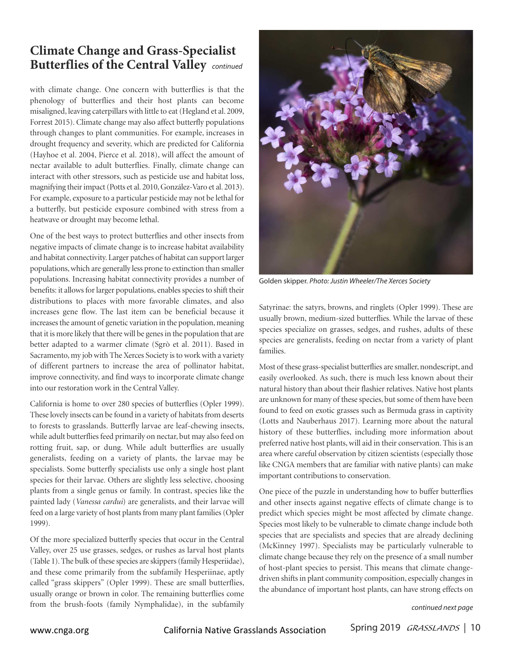## **Climate Change and Grass-Specialist Butterflies of the Central Valley** *continued*

with climate change. One concern with butterflies is that the phenology of butterflies and their host plants can become misaligned, leaving caterpillars with little to eat (Hegland et al. 2009, Forrest 2015). Climate change may also affect butterfly populations through changes to plant communities. For example, increases in drought frequency and severity, which are predicted for California (Hayhoe et al. 2004, Pierce et al. 2018), will affect the amount of nectar available to adult butterflies. Finally, climate change can interact with other stressors, such as pesticide use and habitat loss, magnifying their impact (Potts et al. 2010, González-Varo et al. 2013). For example, exposure to a particular pesticide may not be lethal for a butterfly, but pesticide exposure combined with stress from a heatwave or drought may become lethal.

One of the best ways to protect butterflies and other insects from negative impacts of climate change is to increase habitat availability and habitat connectivity. Larger patches of habitat can support larger populations, which are generally less prone to extinction than smaller populations. Increasing habitat connectivity provides a number of benefits: it allows for larger populations, enables species to shift their distributions to places with more favorable climates, and also increases gene flow. The last item can be beneficial because it increases the amount of genetic variation in the population, meaning that it is more likely that there will be genes in the population that are better adapted to a warmer climate (Sgrò et al. 2011). Based in Sacramento, my job with The Xerces Society is to work with a variety of different partners to increase the area of pollinator habitat, improve connectivity, and find ways to incorporate climate change into our restoration work in the Central Valley.

California is home to over 280 species of butterflies (Opler 1999). These lovely insects can be found in a variety of habitats from deserts to forests to grasslands. Butterfly larvae are leaf-chewing insects, while adult butterflies feed primarily on nectar, but may also feed on rotting fruit, sap, or dung. While adult butterflies are usually generalists, feeding on a variety of plants, the larvae may be specialists. Some butterfly specialists use only a single host plant species for their larvae. Others are slightly less selective, choosing plants from a single genus or family. In contrast, species like the painted lady (*Vanessa cardui*) are generalists, and their larvae will feed on a large variety of host plants from many plant families (Opler 1999).

Of the more specialized butterfly species that occur in the Central Valley, over 25 use grasses, sedges, or rushes as larval host plants (Table 1). The bulk of these species are skippers (family Hesperiidae), and these come primarily from the subfamily Hesperiinae, aptly called "grass skippers" (Opler 1999). These are small butterflies, usually orange or brown in color. The remaining butterflies come from the brush-foots (family Nymphalidae), in the subfamily



Golden skipper. Photo: Justin Wheeler/The Xerces Society

Satyrinae: the satyrs, browns, and ringlets (Opler 1999). These are usually brown, medium-sized butterflies. While the larvae of these species specialize on grasses, sedges, and rushes, adults of these species are generalists, feeding on nectar from a variety of plant families.

Most of these grass-specialist butterflies are smaller, nondescript, and easily overlooked. As such, there is much less known about their natural history than about their flashier relatives. Native host plants are unknown for many of these species, but some of them have been found to feed on exotic grasses such as Bermuda grass in captivity (Lotts and Nauberhaus 2017). Learning more about the natural history of these butterflies, including more information about preferred native host plants, will aid in their conservation. This is an area where careful observation by citizen scientists (especially those like CNGA members that are familiar with native plants) can make important contributions to conservation.

One piece of the puzzle in understanding how to buffer butterflies and other insects against negative effects of climate change is to predict which species might be most affected by climate change. Species most likely to be vulnerable to climate change include both species that are specialists and species that are already declining (McKinney 1997). Specialists may be particularly vulnerable to climate change because they rely on the presence of a small number of host-plant species to persist. This means that climate changedriven shifts in plant community composition, especially changes in the abundance of important host plants, can have strong effects on

continued next page